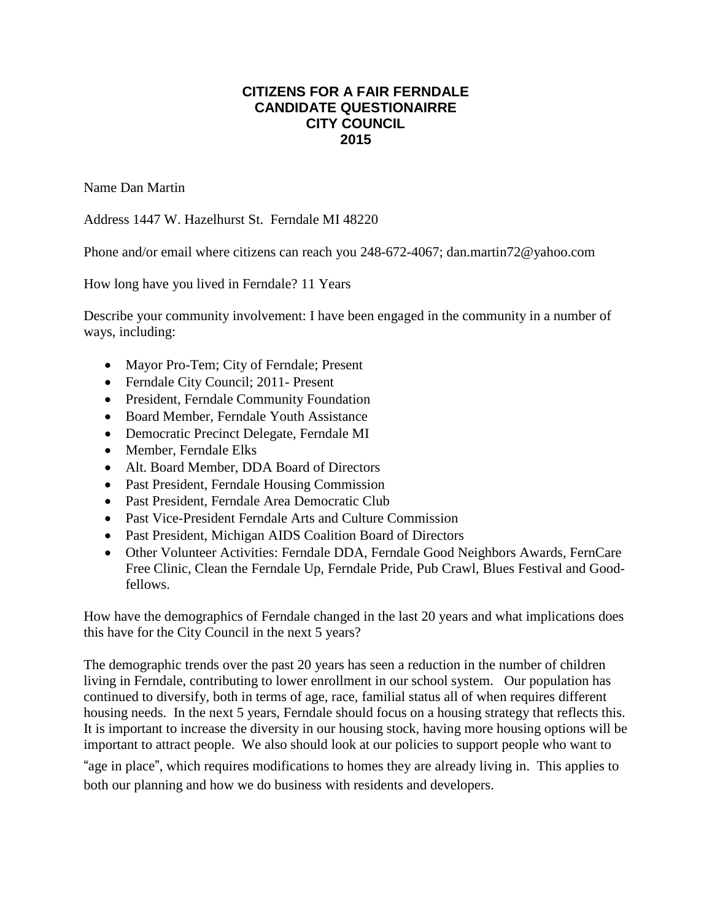## **CITIZENS FOR A FAIR FERNDALE CANDIDATE QUESTIONAIRRE CITY COUNCIL 2015**

Name Dan Martin

Address 1447 W. Hazelhurst St. Ferndale MI 48220

Phone and/or email where citizens can reach you 248-672-4067; dan.martin72@yahoo.com

How long have you lived in Ferndale? 11 Years

Describe your community involvement: I have been engaged in the community in a number of ways, including:

- Mayor Pro-Tem; City of Ferndale; Present
- Ferndale City Council; 2011- Present
- President, Ferndale Community Foundation
- Board Member, Ferndale Youth Assistance
- Democratic Precinct Delegate, Ferndale MI
- Member, Ferndale Elks
- Alt. Board Member, DDA Board of Directors
- Past President, Ferndale Housing Commission
- Past President, Ferndale Area Democratic Club
- Past Vice-President Ferndale Arts and Culture Commission
- Past President, Michigan AIDS Coalition Board of Directors
- Other Volunteer Activities: Ferndale DDA, Ferndale Good Neighbors Awards, FernCare Free Clinic, Clean the Ferndale Up, Ferndale Pride, Pub Crawl, Blues Festival and Goodfellows.

How have the demographics of Ferndale changed in the last 20 years and what implications does this have for the City Council in the next 5 years?

The demographic trends over the past 20 years has seen a reduction in the number of children living in Ferndale, contributing to lower enrollment in our school system. Our population has continued to diversify, both in terms of age, race, familial status all of when requires different housing needs. In the next 5 years, Ferndale should focus on a housing strategy that reflects this. It is important to increase the diversity in our housing stock, having more housing options will be important to attract people. We also should look at our policies to support people who want to

"age in place", which requires modifications to homes they are already living in. This applies to both our planning and how we do business with residents and developers.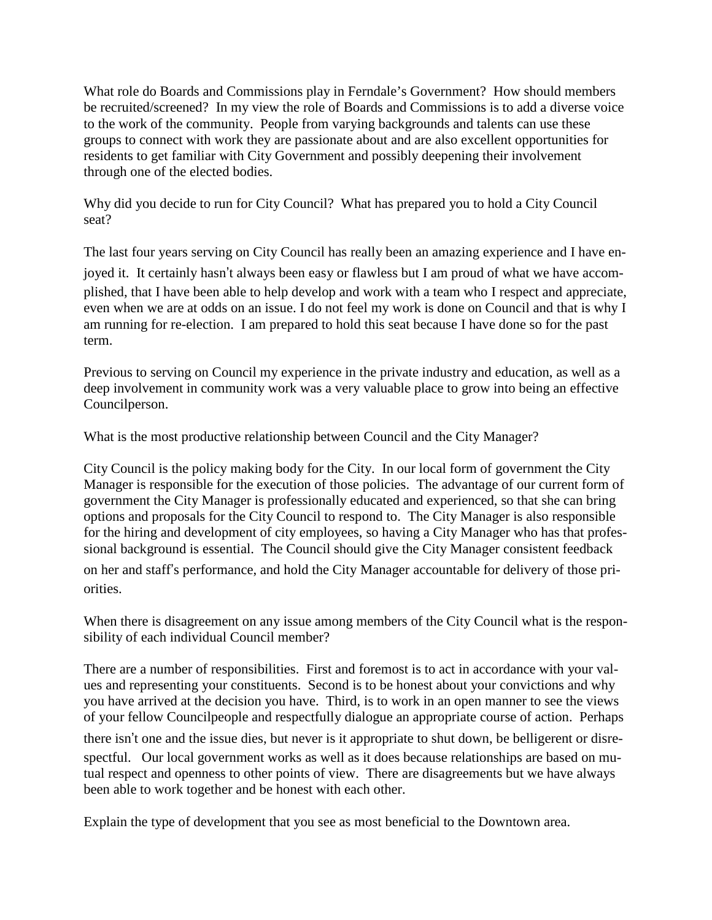What role do Boards and Commissions play in Ferndale's Government? How should members be recruited/screened? In my view the role of Boards and Commissions is to add a diverse voice to the work of the community. People from varying backgrounds and talents can use these groups to connect with work they are passionate about and are also excellent opportunities for residents to get familiar with City Government and possibly deepening their involvement through one of the elected bodies.

Why did you decide to run for City Council? What has prepared you to hold a City Council seat?

The last four years serving on City Council has really been an amazing experience and I have en-

joyed it. It certainly hasn't always been easy or flawless but I am proud of what we have accomplished, that I have been able to help develop and work with a team who I respect and appreciate, even when we are at odds on an issue. I do not feel my work is done on Council and that is why I am running for re-election. I am prepared to hold this seat because I have done so for the past term.

Previous to serving on Council my experience in the private industry and education, as well as a deep involvement in community work was a very valuable place to grow into being an effective Councilperson.

What is the most productive relationship between Council and the City Manager?

City Council is the policy making body for the City. In our local form of government the City Manager is responsible for the execution of those policies. The advantage of our current form of government the City Manager is professionally educated and experienced, so that she can bring options and proposals for the City Council to respond to. The City Manager is also responsible for the hiring and development of city employees, so having a City Manager who has that professional background is essential. The Council should give the City Manager consistent feedback on her and staff's performance, and hold the City Manager accountable for delivery of those priorities.

When there is disagreement on any issue among members of the City Council what is the responsibility of each individual Council member?

There are a number of responsibilities. First and foremost is to act in accordance with your values and representing your constituents. Second is to be honest about your convictions and why you have arrived at the decision you have. Third, is to work in an open manner to see the views of your fellow Councilpeople and respectfully dialogue an appropriate course of action. Perhaps

there isn't one and the issue dies, but never is it appropriate to shut down, be belligerent or disrespectful. Our local government works as well as it does because relationships are based on mutual respect and openness to other points of view. There are disagreements but we have always been able to work together and be honest with each other.

Explain the type of development that you see as most beneficial to the Downtown area.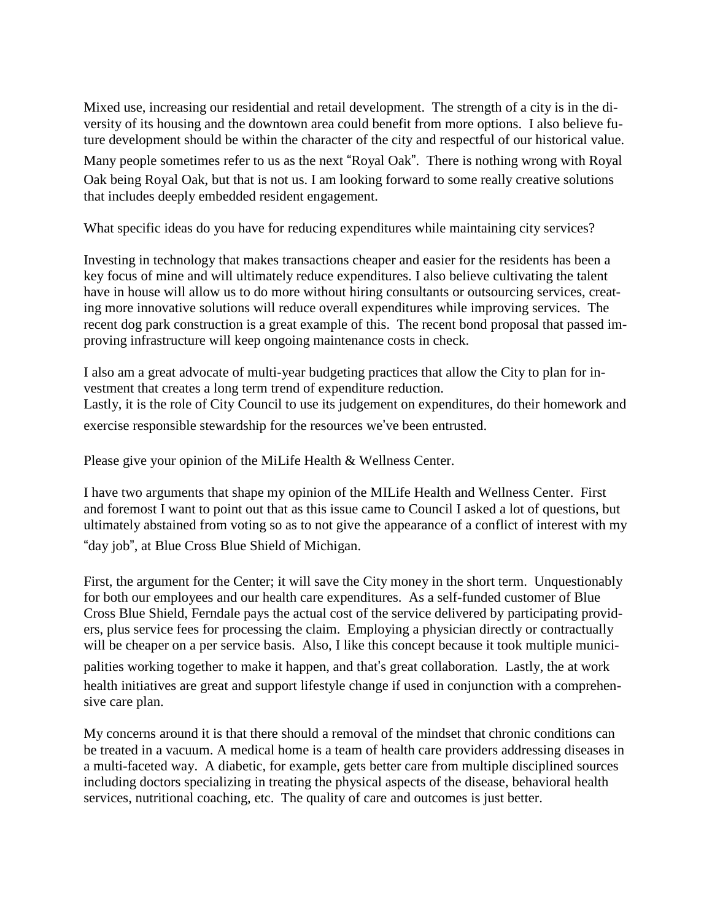Mixed use, increasing our residential and retail development. The strength of a city is in the diversity of its housing and the downtown area could benefit from more options. I also believe future development should be within the character of the city and respectful of our historical value. Many people sometimes refer to us as the next "Royal Oak". There is nothing wrong with Royal Oak being Royal Oak, but that is not us. I am looking forward to some really creative solutions that includes deeply embedded resident engagement.

What specific ideas do you have for reducing expenditures while maintaining city services?

Investing in technology that makes transactions cheaper and easier for the residents has been a key focus of mine and will ultimately reduce expenditures. I also believe cultivating the talent have in house will allow us to do more without hiring consultants or outsourcing services, creating more innovative solutions will reduce overall expenditures while improving services. The recent dog park construction is a great example of this. The recent bond proposal that passed improving infrastructure will keep ongoing maintenance costs in check.

I also am a great advocate of multi-year budgeting practices that allow the City to plan for investment that creates a long term trend of expenditure reduction. Lastly, it is the role of City Council to use its judgement on expenditures, do their homework and exercise responsible stewardship for the resources we've been entrusted.

Please give your opinion of the MiLife Health & Wellness Center.

I have two arguments that shape my opinion of the MILife Health and Wellness Center. First and foremost I want to point out that as this issue came to Council I asked a lot of questions, but ultimately abstained from voting so as to not give the appearance of a conflict of interest with my "day job", at Blue Cross Blue Shield of Michigan.

First, the argument for the Center; it will save the City money in the short term. Unquestionably for both our employees and our health care expenditures. As a self-funded customer of Blue Cross Blue Shield, Ferndale pays the actual cost of the service delivered by participating providers, plus service fees for processing the claim. Employing a physician directly or contractually will be cheaper on a per service basis. Also, I like this concept because it took multiple municipalities working together to make it happen, and that's great collaboration. Lastly, the at work health initiatives are great and support lifestyle change if used in conjunction with a comprehensive care plan.

My concerns around it is that there should a removal of the mindset that chronic conditions can be treated in a vacuum. A medical home is a team of health care providers addressing diseases in a multi-faceted way. A diabetic, for example, gets better care from multiple disciplined sources including doctors specializing in treating the physical aspects of the disease, behavioral health services, nutritional coaching, etc. The quality of care and outcomes is just better.